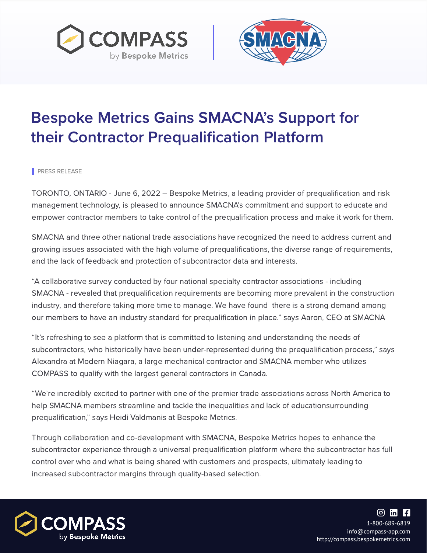PRESS RELEASE



## Bespoke Metrics Gains SMACNA's Support for their Contractor Prequalification Platform



TORONTO, ONTARIO - June 6, 2022 – Bespoke Metrics, a leading provider of prequalification and risk management technology, is pleased to announce SMACNA's commitment and support to educate and empower contractor members to take control of the prequalification process and make it work for them.

SMACNA and three other national trade associations have recognized the need to address current and

growing issues associated with the high volume of prequalifications, the diverse range of requirements, and the lack of feedback and protection of subcontractor data and interests.

"A collaborative survey conducted by four national specialty contractor associations - including SMACNA - revealed that prequalification requirements are becoming more prevalent in the construction industry, and therefore taking more time to manage. We have found there is a strong demand among our members to have an industry standard for prequalification in place." says Aaron, CEO at SMACNA

"It's refreshing to see a platform that is committed to listening and understanding the needs of subcontractors, who historically have been under-represented during the prequalification process, " says Alexandra at Modern Niagara, a large mechanical contractor and SMACNA member who utilizes COMPASS to qualify with the largest general contractors in Canada.

"We're incredibly excited to partner with one of the premier trade associations across North America to help SMACNA members streamline and tackle the inequalities and lack of educationsurrounding prequalification, " says Heidi Valdmanis at Bespoke Metrics.

Through collaboration and co-development with SMACNA, Bespoke Metrics hopes to enhance the subcontractor experience through a universal prequalification platform where the subcontractor has full control over who and what is being shared with customers and prospects, ultimately leading to increased subcontractor margins through quality-based selection.